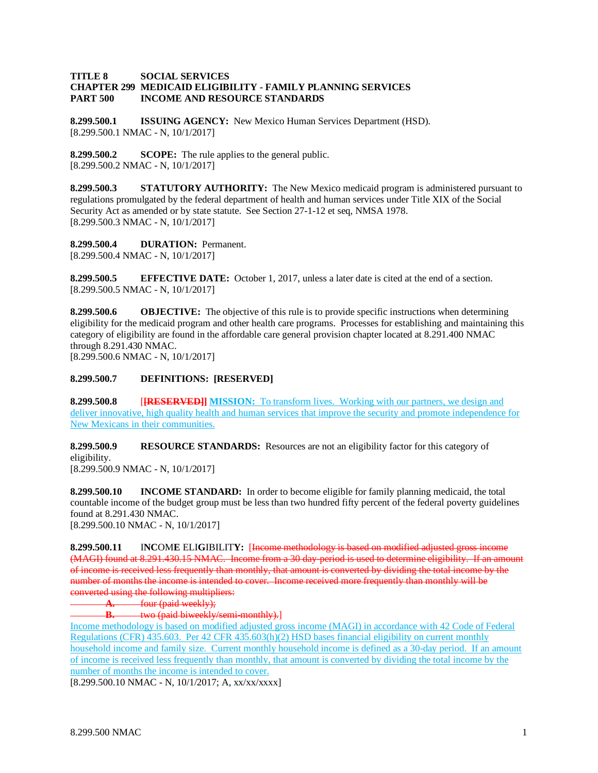## **TITLE 8 SOCIAL SERVICES CHAPTER 299 MEDICAID ELIGIBILITY - FAMILY PLANNING SERVICES PART 500 INCOME AND RESOURCE STANDARDS**

**8.299.500.1 ISSUING AGENCY:** New Mexico Human Services Department (HSD). [8.299.500.1 NMAC - N, 10/1/2017]

**8.299.500.2 SCOPE:** The rule applies to the general public. [8.299.500.2 NMAC - N, 10/1/2017]

**8.299.500.3 STATUTORY AUTHORITY:** The New Mexico medicaid program is administered pursuant to regulations promulgated by the federal department of health and human services under Title XIX of the Social Security Act as amended or by state statute. See Section 27-1-12 et seq, NMSA 1978. [8.299.500.3 NMAC - N, 10/1/2017]

**8.299.500.4 DURATION:** Permanent. [8.299.500.4 NMAC - N, 10/1/2017]

**8.299.500.5 EFFECTIVE DATE:** October 1, 2017, unless a later date is cited at the end of a section. [8.299.500.5 NMAC - N, 10/1/2017]

**8.299.500.6 OBJECTIVE:** The objective of this rule is to provide specific instructions when determining eligibility for the medicaid program and other health care programs. Processes for establishing and maintaining this category of eligibility are found in the affordable care general provision chapter located at 8.291.400 NMAC through 8.291.430 NMAC.

[8.299.500.6 NMAC - N, 10/1/2017]

## **8.299.500.7 DEFINITIONS: [RESERVED]**

**8.299.500.8** [**[RESERVED]] MISSION:** To transform lives. Working with our partners, we design and deliver innovative, high quality health and human services that improve the security and promote independence for New Mexicans in their communities.

**8.299.500.9 RESOURCE STANDARDS:** Resources are not an eligibility factor for this category of eligibility.

[8.299.500.9 NMAC - N, 10/1/2017]

**8.299.500.10 INCOME STANDARD:** In order to become eligible for family planning medicaid, the total countable income of the budget group must be less than two hundred fifty percent of the federal poverty guidelines found at 8.291.430 NMAC. [8.299.500.10 NMAC - N, 10/1/2017]

**8.299.500.11** I**NC**OM**E** ELI**G**IBILIT**Y:** [Income methodology is based on modified adjusted gross income (MAGI) found at 8.291.430.15 NMAC. Income from a 30 day-period is used to determine eligibility. If an amount of income is received less frequently than monthly, that amount is converted by dividing the total income by the number of months the income is intended to cover. Income received more frequently than monthly will be converted using the following multipliers:

**A.** four (paid weekly);

**B.** two (paid biweekly/semi-monthly).]

Income methodology is based on modified adjusted gross income (MAGI) in accordance with 42 Code of Federal Regulations (CFR) 435.603. Per 42 CFR 435.603(h)(2) HSD bases financial eligibility on current monthly household income and family size. Current monthly household income is defined as a 30-day period. If an amount of income is received less frequently than monthly, that amount is converted by dividing the total income by the number of months the income is intended to cover.

[8.299.500.10 NMAC - N, 10/1/2017; A, xx/xx/xxxx]